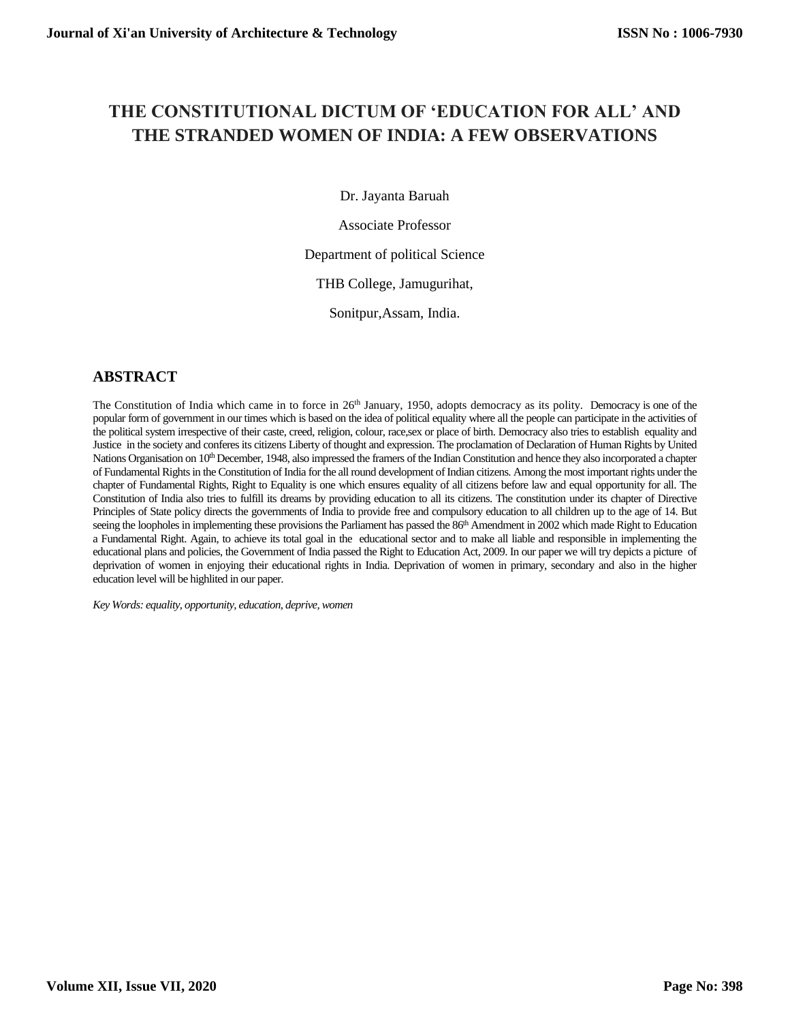# **THE CONSTITUTIONAL DICTUM OF 'EDUCATION FOR ALL' AND THE STRANDED WOMEN OF INDIA: A FEW OBSERVATIONS**

Dr. Jayanta Baruah

Associate Professor

### Department of political Science

THB College, Jamugurihat,

Sonitpur,Assam, India.

# **ABSTRACT**

The Constitution of India which came in to force in 26<sup>th</sup> January, 1950, adopts democracy as its polity. Democracy is one of the popular form of government in our times which is based on the idea of political equality where all the people can participate in the activities of the political system irrespective of their caste, creed, religion, colour, race,sex or place of birth. Democracy also tries to establish equality and Justice in the society and conferes its citizens Liberty of thought and expression. The proclamation of Declaration of Human Rights by United Nations Organisation on 10<sup>th</sup> December, 1948, also impressed the framers of the Indian Constitution and hence they also incorporated a chapter of Fundamental Rights in the Constitution of India for the all round development of Indian citizens. Among the most important rights under the chapter of Fundamental Rights, Right to Equality is one which ensures equality of all citizens before law and equal opportunity for all. The Constitution of India also tries to fulfill its dreams by providing education to all its citizens. The constitution under its chapter of Directive Principles of State policy directs the governments of India to provide free and compulsory education to all children up to the age of 14. But seeing the loopholes in implementing these provisions the Parliament has passed the 86<sup>th</sup> Amendment in 2002 which made Right to Education a Fundamental Right. Again, to achieve its total goal in the educational sector and to make all liable and responsible in implementing the educational plans and policies, the Government of India passed the Right to Education Act, 2009. In our paper we will try depicts a picture of deprivation of women in enjoying their educational rights in India. Deprivation of women in primary, secondary and also in the higher education level will be highlited in our paper.

*Key Words: equality, opportunity, education, deprive, women*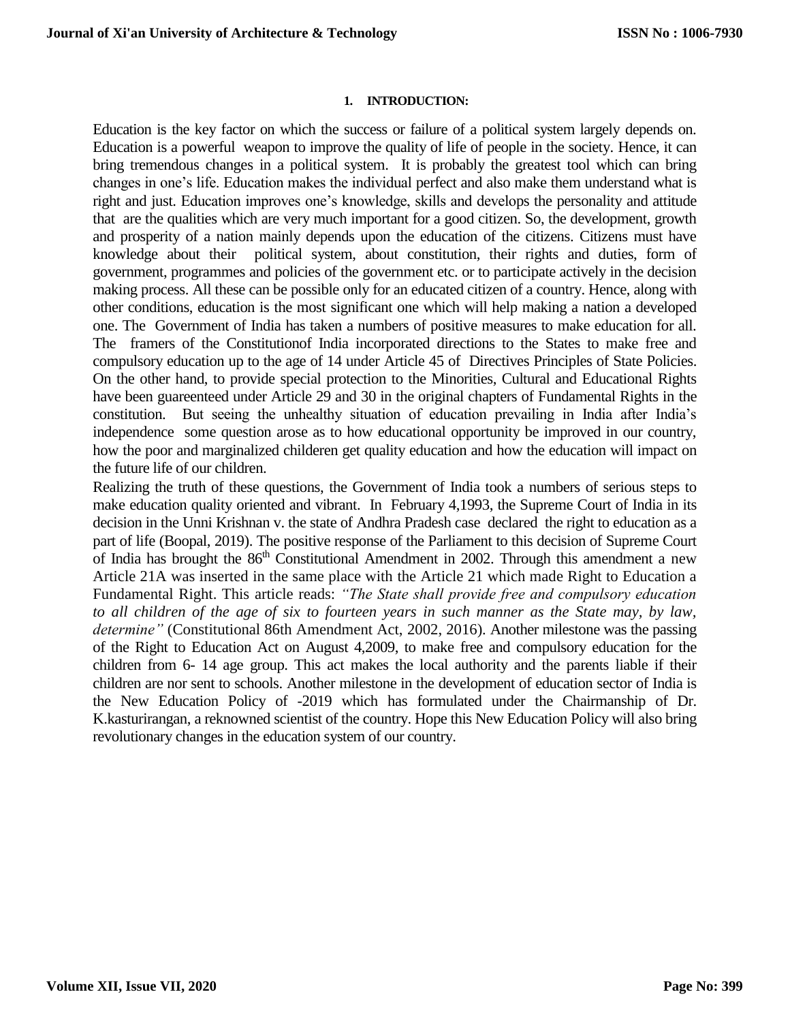#### **1. INTRODUCTION:**

Education is the key factor on which the success or failure of a political system largely depends on. Education is a powerful weapon to improve the quality of life of people in the society. Hence, it can bring tremendous changes in a political system. It is probably the greatest tool which can bring changes in one's life. Education makes the individual perfect and also make them understand what is right and just. Education improves one's knowledge, skills and develops the personality and attitude that are the qualities which are very much important for a good citizen. So, the development, growth and prosperity of a nation mainly depends upon the education of the citizens. Citizens must have knowledge about their political system, about constitution, their rights and duties, form of government, programmes and policies of the government etc. or to participate actively in the decision making process. All these can be possible only for an educated citizen of a country. Hence, along with other conditions, education is the most significant one which will help making a nation a developed one. The Government of India has taken a numbers of positive measures to make education for all. The framers of the Constitutionof India incorporated directions to the States to make free and compulsory education up to the age of 14 under Article 45 of Directives Principles of State Policies. On the other hand, to provide special protection to the Minorities, Cultural and Educational Rights have been guareenteed under Article 29 and 30 in the original chapters of Fundamental Rights in the constitution. But seeing the unhealthy situation of education prevailing in India after India's independence some question arose as to how educational opportunity be improved in our country, how the poor and marginalized childeren get quality education and how the education will impact on the future life of our children.

Realizing the truth of these questions, the Government of India took a numbers of serious steps to make education quality oriented and vibrant. In February 4,1993, the Supreme Court of India in its decision in the Unni Krishnan v. the state of Andhra Pradesh case declared the right to education as a part of life (Boopal, 2019). The positive response of the Parliament to this decision of Supreme Court of India has brought the 86<sup>th</sup> Constitutional Amendment in 2002. Through this amendment a new Article 21A was inserted in the same place with the Article 21 which made Right to Education a Fundamental Right. This article reads: *"The State shall provide free and compulsory education to all children of the age of six to fourteen years in such manner as the State may, by law, determine"* (Constitutional 86th Amendment Act, 2002, 2016)*.* Another milestone was the passing of the Right to Education Act on August 4,2009, to make free and compulsory education for the children from 6- 14 age group. This act makes the local authority and the parents liable if their children are nor sent to schools. Another milestone in the development of education sector of India is the New Education Policy of -2019 which has formulated under the Chairmanship of Dr. K.kasturirangan, a reknowned scientist of the country. Hope this New Education Policy will also bring revolutionary changes in the education system of our country.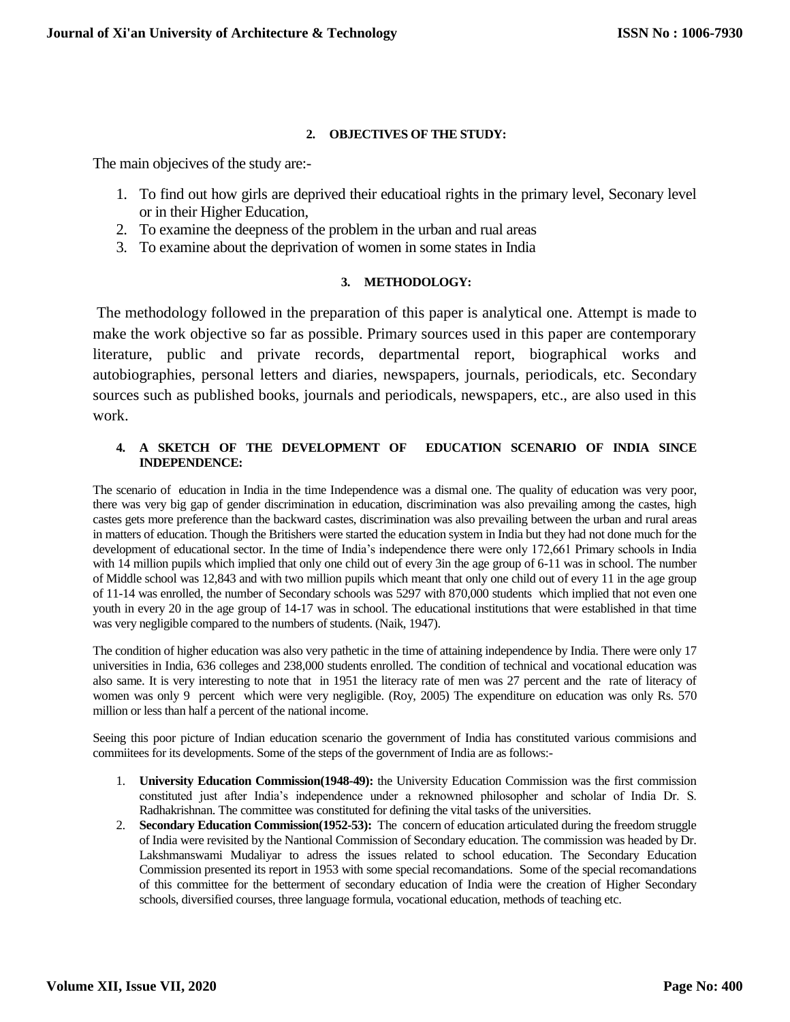### **2. OBJECTIVES OF THE STUDY:**

The main objecives of the study are:-

- 1. To find out how girls are deprived their educatioal rights in the primary level, Seconary level or in their Higher Education,
- 2. To examine the deepness of the problem in the urban and rual areas
- 3. To examine about the deprivation of women in some states in India

#### **3. METHODOLOGY:**

The methodology followed in the preparation of this paper is analytical one. Attempt is made to make the work objective so far as possible. Primary sources used in this paper are contemporary literature, public and private records, departmental report, biographical works and autobiographies, personal letters and diaries, newspapers, journals, periodicals, etc. Secondary sources such as published books, journals and periodicals, newspapers, etc., are also used in this work.

#### **4. A SKETCH OF THE DEVELOPMENT OF EDUCATION SCENARIO OF INDIA SINCE INDEPENDENCE:**

The scenario of education in India in the time Independence was a dismal one. The quality of education was very poor, there was very big gap of gender discrimination in education, discrimination was also prevailing among the castes, high castes gets more preference than the backward castes, discrimination was also prevailing between the urban and rural areas in matters of education. Though the Britishers were started the education system in India but they had not done much for the development of educational sector. In the time of India's independence there were only 172,661 Primary schools in India with 14 million pupils which implied that only one child out of every 3in the age group of 6-11 was in school. The number of Middle school was 12,843 and with two million pupils which meant that only one child out of every 11 in the age group of 11-14 was enrolled, the number of Secondary schools was 5297 with 870,000 students which implied that not even one youth in every 20 in the age group of 14-17 was in school. The educational institutions that were established in that time was very negligible compared to the numbers of students. (Naik, 1947).

The condition of higher education was also very pathetic in the time of attaining independence by India. There were only 17 universities in India, 636 colleges and 238,000 students enrolled. The condition of technical and vocational education was also same. It is very interesting to note that in 1951 the literacy rate of men was 27 percent and the rate of literacy of women was only 9 percent which were very negligible. (Roy, 2005) The expenditure on education was only Rs. 570 million or less than half a percent of the national income.

Seeing this poor picture of Indian education scenario the government of India has constituted various commisions and commiitees for its developments. Some of the steps of the government of India are as follows:-

- 1. **University Education Commission(1948-49):** the University Education Commission was the first commission constituted just after India's independence under a reknowned philosopher and scholar of India Dr. S. Radhakrishnan. The committee was constituted for defining the vital tasks of the universities.
- 2. **Secondary Education Commission(1952-53):** The concern of education articulated during the freedom struggle of India were revisited by the Nantional Commission of Secondary education. The commission was headed by Dr. Lakshmanswami Mudaliyar to adress the issues related to school education. The Secondary Education Commission presented its report in 1953 with some special recomandations. Some of the special recomandations of this committee for the betterment of secondary education of India were the creation of Higher Secondary schools, diversified courses, three language formula, vocational education, methods of teaching etc.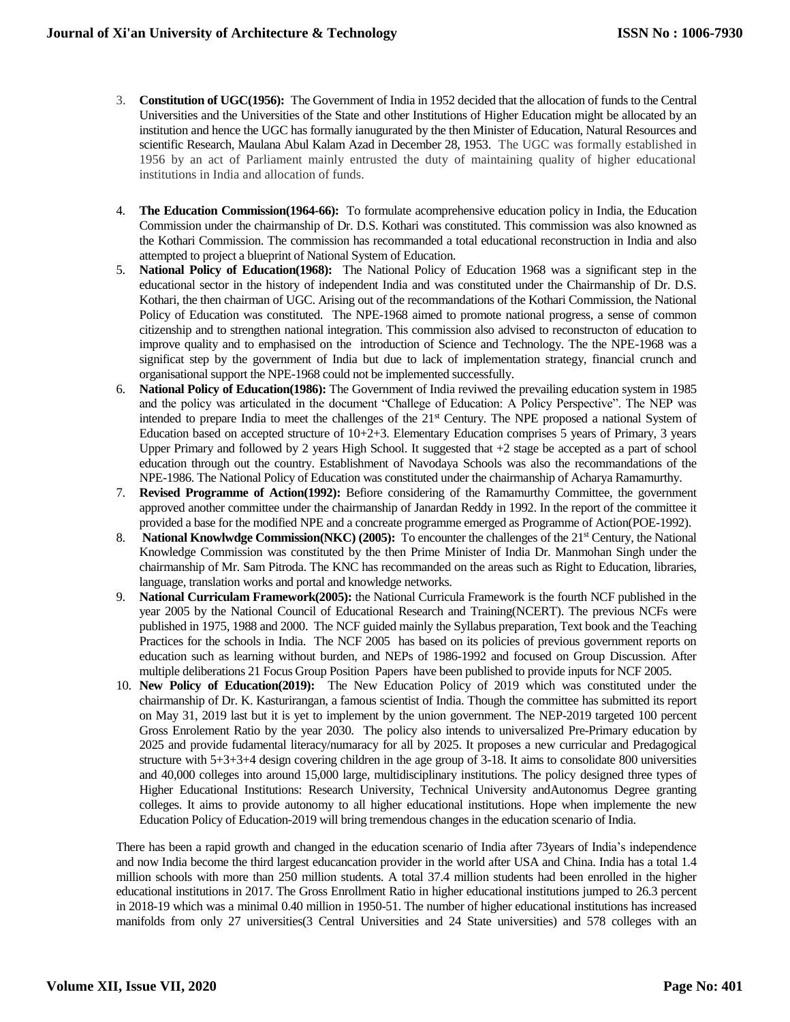- 3. **Constitution of UGC(1956):** The Government of India in 1952 decided that the allocation of funds to the Central Universities and the Universities of the State and other Institutions of Higher Education might be allocated by an institution and hence the UGC has formally ianugurated by the then Minister of Education, Natural Resources and scientific Research, Maulana Abul Kalam Azad in December 28, 1953. The UGC was formally established in 1956 by an act of Parliament mainly entrusted the duty of maintaining quality of higher educational institutions in India and allocation of funds.
- 4. **The Education Commission(1964-66):** To formulate acomprehensive education policy in India, the Education Commission under the chairmanship of Dr. D.S. Kothari was constituted. This commission was also knowned as the Kothari Commission. The commission has recommanded a total educational reconstruction in India and also attempted to project a blueprint of National System of Education.
- 5. **National Policy of Education(1968):** The National Policy of Education 1968 was a significant step in the educational sector in the history of independent India and was constituted under the Chairmanship of Dr. D.S. Kothari, the then chairman of UGC. Arising out of the recommandations of the Kothari Commission, the National Policy of Education was constituted. The NPE-1968 aimed to promote national progress, a sense of common citizenship and to strengthen national integration. This commission also advised to reconstructon of education to improve quality and to emphasised on the introduction of Science and Technology. The the NPE-1968 was a significat step by the government of India but due to lack of implementation strategy, financial crunch and organisational support the NPE-1968 could not be implemented successfully.
- 6. **National Policy of Education(1986):** The Government of India reviwed the prevailing education system in 1985 and the policy was articulated in the document "Challege of Education: A Policy Perspective". The NEP was intended to prepare India to meet the challenges of the 21<sup>st</sup> Century. The NPE proposed a national System of Education based on accepted structure of 10+2+3. Elementary Education comprises 5 years of Primary, 3 years Upper Primary and followed by 2 years High School. It suggested that +2 stage be accepted as a part of school education through out the country. Establishment of Navodaya Schools was also the recommandations of the NPE-1986. The National Policy of Education was constituted under the chairmanship of Acharya Ramamurthy.
- 7. **Revised Programme of Action(1992):** Befiore considering of the Ramamurthy Committee, the government approved another committee under the chairmanship of Janardan Reddy in 1992. In the report of the committee it provided a base for the modified NPE and a concreate programme emerged as Programme of Action(POE-1992).
- 8. **National Knowlwdge Commission(NKC) (2005):** To encounter the challenges of the 21<sup>st</sup> Century, the National Knowledge Commission was constituted by the then Prime Minister of India Dr. Manmohan Singh under the chairmanship of Mr. Sam Pitroda. The KNC has recommanded on the areas such as Right to Education, libraries, language, translation works and portal and knowledge networks.
- 9. **National Curriculam Framework(2005):** the National Curricula Framework is the fourth NCF published in the year 2005 by the National Council of Educational Research and Training(NCERT). The previous NCFs were published in 1975, 1988 and 2000. The NCF guided mainly the Syllabus preparation, Text book and the Teaching Practices for the schools in India. The NCF 2005 has based on its policies of previous government reports on education such as learning without burden, and NEPs of 1986-1992 and focused on Group Discussion. After multiple deliberations 21 Focus Group Position Papers have been published to provide inputs for NCF 2005.
- 10. **New Policy of Education(2019):** The New Education Policy of 2019 which was constituted under the chairmanship of Dr. K. Kasturirangan, a famous scientist of India. Though the committee has submitted its report on May 31, 2019 last but it is yet to implement by the union government. The NEP-2019 targeted 100 percent Gross Enrolement Ratio by the year 2030. The policy also intends to universalized Pre-Primary education by 2025 and provide fudamental literacy/numaracy for all by 2025. It proposes a new curricular and Predagogical structure with 5+3+3+4 design covering children in the age group of 3-18. It aims to consolidate 800 universities and 40,000 colleges into around 15,000 large, multidisciplinary institutions. The policy designed three types of Higher Educational Institutions: Research University, Technical University andAutonomus Degree granting colleges. It aims to provide autonomy to all higher educational institutions. Hope when implemente the new Education Policy of Education-2019 will bring tremendous changes in the education scenario of India.

There has been a rapid growth and changed in the education scenario of India after 73years of India's independence and now India become the third largest educancation provider in the world after USA and China. India has a total 1.4 million schools with more than 250 million students. A total 37.4 million students had been enrolled in the higher educational institutions in 2017. The Gross Enrollment Ratio in higher educational institutions jumped to 26.3 percent in 2018-19 which was a minimal 0.40 million in 1950-51. The number of higher educational institutions has increased manifolds from only 27 universities(3 Central Universities and 24 State universities) and 578 colleges with an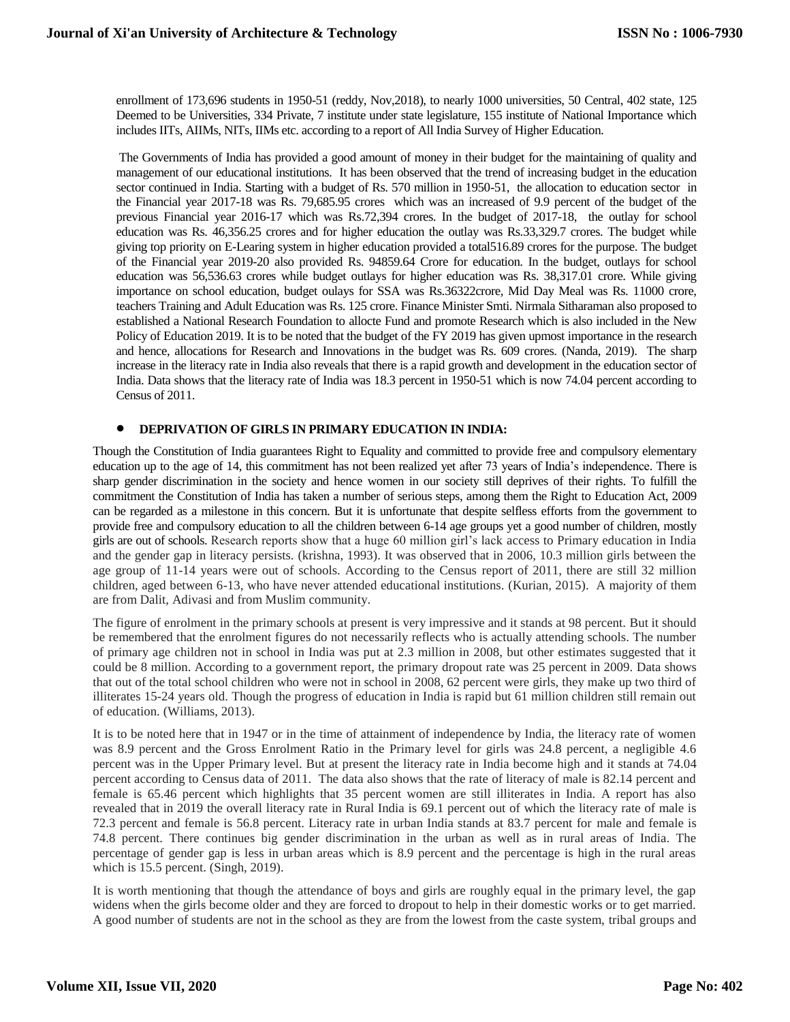enrollment of 173,696 students in 1950-51 (reddy, Nov,2018), to nearly 1000 universities, 50 Central, 402 state, 125 Deemed to be Universities, 334 Private, 7 institute under state legislature, 155 institute of National Importance which includes IITs, AIIMs, NITs, IIMs etc. according to a report of All India Survey of Higher Education.

The Governments of India has provided a good amount of money in their budget for the maintaining of quality and management of our educational institutions. It has been observed that the trend of increasing budget in the education sector continued in India. Starting with a budget of Rs. 570 million in 1950-51, the allocation to education sector in the Financial year 2017-18 was Rs. 79,685.95 crores which was an increased of 9.9 percent of the budget of the previous Financial year 2016-17 which was Rs.72,394 crores. In the budget of 2017-18, the outlay for school education was Rs. 46,356.25 crores and for higher education the outlay was Rs.33,329.7 crores. The budget while giving top priority on E-Learing system in higher education provided a total516.89 crores for the purpose. The budget of the Financial year 2019-20 also provided Rs. 94859.64 Crore for education. In the budget, outlays for school education was 56,536.63 crores while budget outlays for higher education was Rs. 38,317.01 crore. While giving importance on school education, budget oulays for SSA was Rs.36322crore, Mid Day Meal was Rs. 11000 crore, teachers Training and Adult Education was Rs. 125 crore. Finance Minister Smti. Nirmala Sitharaman also proposed to established a National Research Foundation to allocte Fund and promote Research which is also included in the New Policy of Education 2019. It is to be noted that the budget of the FY 2019 has given upmost importance in the research and hence, allocations for Research and Innovations in the budget was Rs. 609 crores. (Nanda, 2019). The sharp increase in the literacy rate in India also reveals that there is a rapid growth and development in the education sector of India. Data shows that the literacy rate of India was 18.3 percent in 1950-51 which is now 74.04 percent according to Census of 2011.

#### **DEPRIVATION OF GIRLS IN PRIMARY EDUCATION IN INDIA:**

Though the Constitution of India guarantees Right to Equality and committed to provide free and compulsory elementary education up to the age of 14, this commitment has not been realized yet after 73 years of India's independence. There is sharp gender discrimination in the society and hence women in our society still deprives of their rights. To fulfill the commitment the Constitution of India has taken a number of serious steps, among them the Right to Education Act, 2009 can be regarded as a milestone in this concern. But it is unfortunate that despite selfless efforts from the government to provide free and compulsory education to all the children between 6-14 age groups yet a good number of children, mostly girls are out of schools. Research reports show that a huge 60 million girl's lack access to Primary education in India and the gender gap in literacy persists. (krishna, 1993). It was observed that in 2006, 10.3 million girls between the age group of 11-14 years were out of schools. According to the Census report of 2011, there are still 32 million children, aged between 6-13, who have never attended educational institutions. (Kurian, 2015). A majority of them are from Dalit, Adivasi and from Muslim community.

The figure of enrolment in the primary schools at present is very impressive and it stands at 98 percent. But it should be remembered that the enrolment figures do not necessarily reflects who is actually attending schools. The number of primary age children not in school in India was put at 2.3 million in 2008, but other estimates suggested that it could be 8 million. According to a government report, the primary dropout rate was 25 percent in 2009. Data shows that out of the total school children who were not in school in 2008, 62 percent were girls, they make up two third of illiterates 15-24 years old. Though the progress of education in India is rapid but 61 million children still remain out of education. (Williams, 2013).

It is to be noted here that in 1947 or in the time of attainment of independence by India, the literacy rate of women was 8.9 percent and the Gross Enrolment Ratio in the Primary level for girls was 24.8 percent, a negligible 4.6 percent was in the Upper Primary level. But at present the literacy rate in India become high and it stands at 74.04 percent according to Census data of 2011. The data also shows that the rate of literacy of male is 82.14 percent and female is 65.46 percent which highlights that 35 percent women are still illiterates in India. A report has also revealed that in 2019 the overall literacy rate in Rural India is 69.1 percent out of which the literacy rate of male is 72.3 percent and female is 56.8 percent. Literacy rate in urban India stands at 83.7 percent for male and female is 74.8 percent. There continues big gender discrimination in the urban as well as in rural areas of India. The percentage of gender gap is less in urban areas which is 8.9 percent and the percentage is high in the rural areas which is 15.5 percent. (Singh, 2019).

It is worth mentioning that though the attendance of boys and girls are roughly equal in the primary level, the gap widens when the girls become older and they are forced to dropout to help in their domestic works or to get married. A good number of students are not in the school as they are from the lowest from the caste system, tribal groups and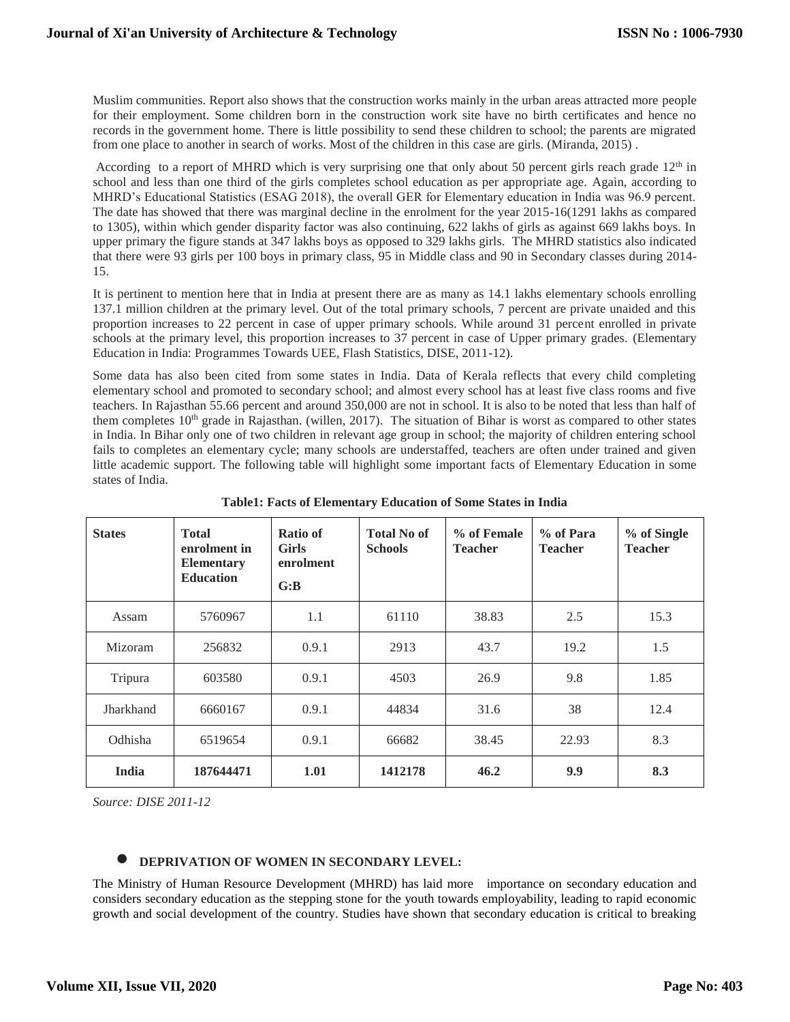Muslim communities. Report also shows that the construction works mainly in the urban areas attracted more people for their employment. Some children born in the construction work site have no birth certificates and hence no records in the government home. There is little possibility to send these children to school; the parents are migrated from one place to another in search of works. Most of the children in this case are girls. (Miranda, 2015) .

According to a report of MHRD which is very surprising one that only about 50 percent girls reach grade  $12<sup>th</sup>$  in school and less than one third of the girls completes school education as per appropriate age. Again, according to MHRD's Educational Statistics (ESAG 2018), the overall GER for Elementary education in India was 96.9 percent. The date has showed that there was marginal decline in the enrolment for the year 2015-16(1291 lakhs as compared to 1305), within which gender disparity factor was also continuing, 622 lakhs of girls as against 669 lakhs boys. In upper primary the figure stands at 347 lakhs boys as opposed to 329 lakhs girls. The MHRD statistics also indicated that there were 93 girls per 100 boys in primary class, 95 in Middle class and 90 in Secondary classes during 2014- 15.

It is pertinent to mention here that in India at present there are as many as 14.1 lakhs elementary schools enrolling 137.1 million children at the primary level. Out of the total primary schools, 7 percent are private unaided and this proportion increases to 22 percent in case of upper primary schools. While around 31 percent enrolled in private schools at the primary level, this proportion increases to 37 percent in case of Upper primary grades. (Elementary Education in India: Programmes Towards UEE, Flash Statistics, DISE, 2011-12).

Some data has also been cited from some states in India. Data of Kerala reflects that every child completing elementary school and promoted to secondary school; and almost every school has at least five class rooms and five teachers. In Rajasthan 55.66 percent and around 350,000 are not in school. It is also to be noted that less than half of them completes  $10<sup>th</sup>$  grade in Rajasthan. (willen, 2017). The situation of Bihar is worst as compared to other states in India. In Bihar only one of two children in relevant age group in school; the majority of children entering school fails to completes an elementary cycle; many schools are understaffed, teachers are often under trained and given little academic support. The following table will highlight some important facts of Elementary Education in some states of India.

| <b>States</b> | <b>Total</b><br>enrolment in<br><b>Elementary</b><br><b>Education</b> | <b>Ratio of</b><br><b>Girls</b><br>enrolment<br>G:B | <b>Total No of</b><br><b>Schools</b> | % of Female<br><b>Teacher</b> | % of Para<br><b>Teacher</b> | % of Single<br><b>Teacher</b> |
|---------------|-----------------------------------------------------------------------|-----------------------------------------------------|--------------------------------------|-------------------------------|-----------------------------|-------------------------------|
| Assam         | 5760967                                                               | 1.1                                                 | 61110                                | 38.83                         | 2.5                         | 15.3                          |
| Mizoram       | 256832                                                                | 0.9.1                                               | 2913                                 | 43.7                          | 19.2                        | 1.5                           |
| Tripura       | 603580                                                                | 0.9.1                                               | 4503                                 | 26.9                          | 9.8                         | 1.85                          |
| Jharkhand     | 6660167                                                               | 0.9.1                                               | 44834                                | 31.6                          | 38                          | 12.4                          |
| Odhisha       | 6519654                                                               | 0.9.1                                               | 66682                                | 38.45                         | 22.93                       | 8.3                           |
| India         | 187644471                                                             | 1.01                                                | 1412178                              | 46.2                          | 9.9                         | 8.3                           |

**Table1: Facts of Elementary Education of Some States in India**

*Source: DISE 2011-12*

#### **DEPRIVATION OF WOMEN IN SECONDARY LEVEL:**

The Ministry of Human Resource Development (MHRD) has laid more importance on secondary education and considers secondary education as the stepping stone for the youth towards employability, leading to rapid economic growth and social development of the country. Studies have shown that secondary education is critical to breaking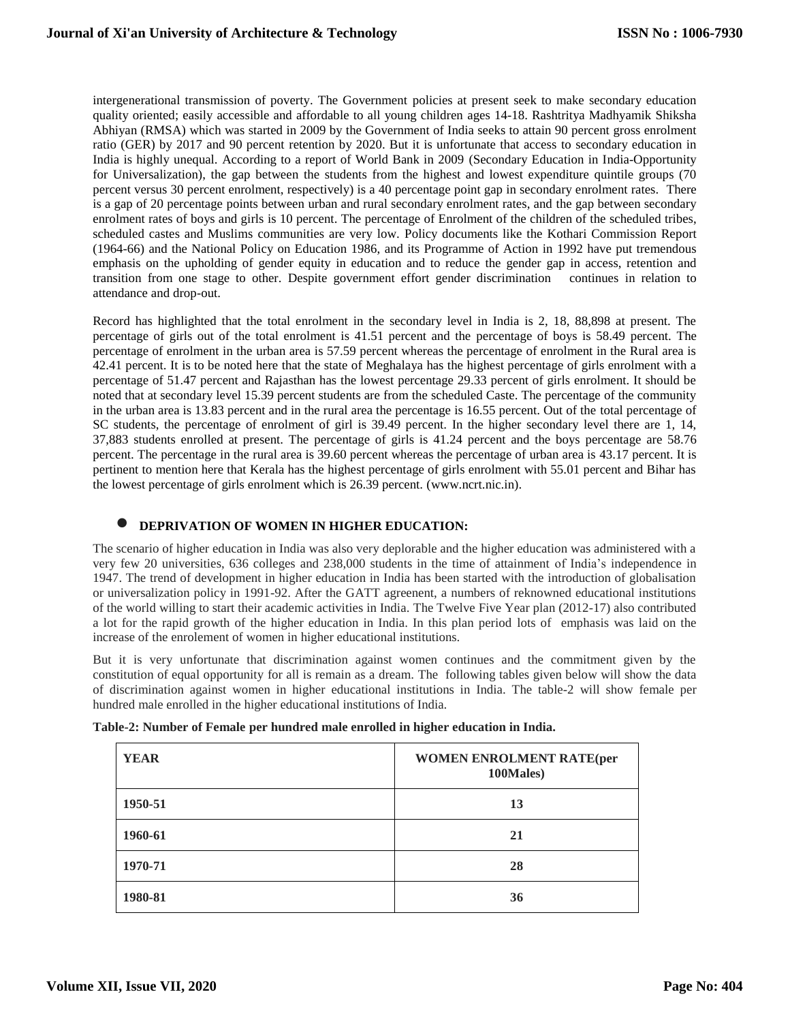intergenerational transmission of poverty. The Government policies at present seek to make secondary education quality oriented; easily accessible and affordable to all young children ages 14-18. Rashtritya Madhyamik Shiksha Abhiyan (RMSA) which was started in 2009 by the Government of India seeks to attain 90 percent gross enrolment ratio (GER) by 2017 and 90 percent retention by 2020. But it is unfortunate that access to secondary education in India is highly unequal. According to a report of World Bank in 2009 (Secondary Education in India-Opportunity for Universalization), the gap between the students from the highest and lowest expenditure quintile groups (70 percent versus 30 percent enrolment, respectively) is a 40 percentage point gap in secondary enrolment rates. There is a gap of 20 percentage points between urban and rural secondary enrolment rates, and the gap between secondary enrolment rates of boys and girls is 10 percent. The percentage of Enrolment of the children of the scheduled tribes, scheduled castes and Muslims communities are very low. Policy documents like the Kothari Commission Report (1964-66) and the National Policy on Education 1986, and its Programme of Action in 1992 have put tremendous emphasis on the upholding of gender equity in education and to reduce the gender gap in access, retention and transition from one stage to other. Despite government effort gender discrimination continues in relation to attendance and drop-out.

Record has highlighted that the total enrolment in the secondary level in India is 2, 18, 88,898 at present. The percentage of girls out of the total enrolment is 41.51 percent and the percentage of boys is 58.49 percent. The percentage of enrolment in the urban area is 57.59 percent whereas the percentage of enrolment in the Rural area is 42.41 percent. It is to be noted here that the state of Meghalaya has the highest percentage of girls enrolment with a percentage of 51.47 percent and Rajasthan has the lowest percentage 29.33 percent of girls enrolment. It should be noted that at secondary level 15.39 percent students are from the scheduled Caste. The percentage of the community in the urban area is 13.83 percent and in the rural area the percentage is 16.55 percent. Out of the total percentage of SC students, the percentage of enrolment of girl is 39.49 percent. In the higher secondary level there are 1, 14, 37,883 students enrolled at present. The percentage of girls is 41.24 percent and the boys percentage are 58.76 percent. The percentage in the rural area is 39.60 percent whereas the percentage of urban area is 43.17 percent. It is pertinent to mention here that Kerala has the highest percentage of girls enrolment with 55.01 percent and Bihar has the lowest percentage of girls enrolment which is 26.39 percent. (www.ncrt.nic.in).

## **DEPRIVATION OF WOMEN IN HIGHER EDUCATION:**

The scenario of higher education in India was also very deplorable and the higher education was administered with a very few 20 universities, 636 colleges and 238,000 students in the time of attainment of India's independence in 1947. The trend of development in higher education in India has been started with the introduction of globalisation or universalization policy in 1991-92. After the GATT agreenent, a numbers of reknowned educational institutions of the world willing to start their academic activities in India. The Twelve Five Year plan (2012-17) also contributed a lot for the rapid growth of the higher education in India. In this plan period lots of emphasis was laid on the increase of the enrolement of women in higher educational institutions.

But it is very unfortunate that discrimination against women continues and the commitment given by the constitution of equal opportunity for all is remain as a dream. The following tables given below will show the data of discrimination against women in higher educational institutions in India. The table-2 will show female per hundred male enrolled in the higher educational institutions of India.

| <b>YEAR</b> | <b>WOMEN ENROLMENT RATE(per</b><br>100Males) |
|-------------|----------------------------------------------|
| 1950-51     | 13                                           |
| 1960-61     | 21                                           |
| 1970-71     | 28                                           |
| 1980-81     | 36                                           |

| Table-2: Number of Female per hundred male enrolled in higher education in India. |  |  |  |
|-----------------------------------------------------------------------------------|--|--|--|
|                                                                                   |  |  |  |
|                                                                                   |  |  |  |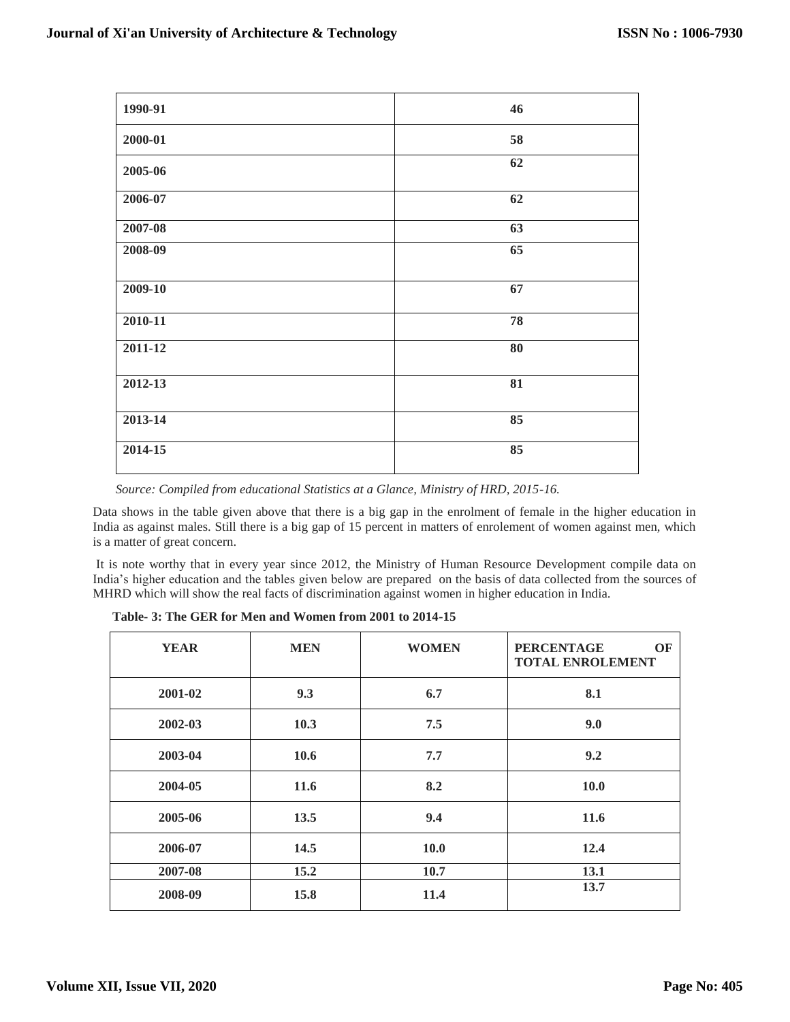| 1990-91 | 46 |
|---------|----|
| 2000-01 | 58 |
| 2005-06 | 62 |
| 2006-07 | 62 |
| 2007-08 | 63 |
| 2008-09 | 65 |
| 2009-10 | 67 |
| 2010-11 | 78 |
| 2011-12 | 80 |
| 2012-13 | 81 |
| 2013-14 | 85 |
| 2014-15 | 85 |

 *Source: Compiled from educational Statistics at a Glance, Ministry of HRD, 2015-16.*

Data shows in the table given above that there is a big gap in the enrolment of female in the higher education in India as against males. Still there is a big gap of 15 percent in matters of enrolement of women against men, which is a matter of great concern.

It is note worthy that in every year since 2012, the Ministry of Human Resource Development compile data on India's higher education and the tables given below are prepared on the basis of data collected from the sources of MHRD which will show the real facts of discrimination against women in higher education in India.

| <b>YEAR</b> | <b>MEN</b> | <b>WOMEN</b> | <b>PERCENTAGE</b><br>OF<br><b>TOTAL ENROLEMENT</b> |
|-------------|------------|--------------|----------------------------------------------------|
| 2001-02     | 9.3        | 6.7          | 8.1                                                |
| 2002-03     | 10.3       | 7.5          | 9.0                                                |
| 2003-04     | 10.6       | 7.7          | 9.2                                                |
| 2004-05     | 11.6       | 8.2          | <b>10.0</b>                                        |
| 2005-06     | 13.5       | 9.4          | 11.6                                               |
| 2006-07     | 14.5       | <b>10.0</b>  | 12.4                                               |
| 2007-08     | 15.2       | 10.7         | 13.1                                               |
| 2008-09     | 15.8       | 11.4         | 13.7                                               |

 **Table- 3: The GER for Men and Women from 2001 to 2014-15**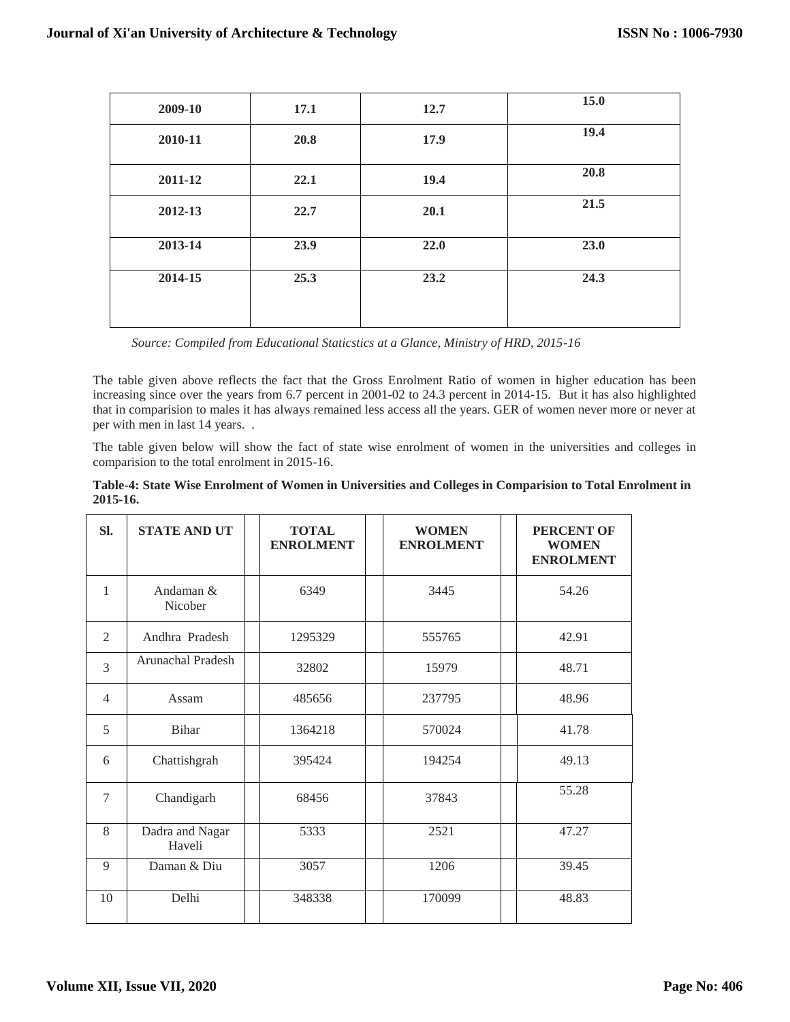| 2009-10 | 17.1 | 12.7 | 15.0 |
|---------|------|------|------|
| 2010-11 | 20.8 | 17.9 | 19.4 |
| 2011-12 | 22.1 | 19.4 | 20.8 |
| 2012-13 | 22.7 | 20.1 | 21.5 |
| 2013-14 | 23.9 | 22.0 | 23.0 |
| 2014-15 | 25.3 | 23.2 | 24.3 |

 *Source: Compiled from Educational Staticstics at a Glance, Ministry of HRD, 2015-16*

The table given above reflects the fact that the Gross Enrolment Ratio of women in higher education has been increasing since over the years from 6.7 percent in 2001-02 to 24.3 percent in 2014-15. But it has also highlighted that in comparision to males it has always remained less access all the years. GER of women never more or never at per with men in last 14 years. .

The table given below will show the fact of state wise enrolment of women in the universities and colleges in comparision to the total enrolment in 2015-16.

| Table-4: State Wise Enrolment of Women in Universities and Colleges in Comparision to Total Enrolment in |  |  |
|----------------------------------------------------------------------------------------------------------|--|--|
| 2015-16.                                                                                                 |  |  |

| SI.            | <b>STATE AND UT</b>       | <b>TOTAL</b><br><b>ENROLMENT</b> | <b>WOMEN</b><br><b>ENROLMENT</b> | PERCENT OF<br><b>WOMEN</b><br><b>ENROLMENT</b> |
|----------------|---------------------------|----------------------------------|----------------------------------|------------------------------------------------|
| 1              | Andaman &<br>Nicober      | 6349                             | 3445                             | 54.26                                          |
| 2              | Andhra Pradesh            | 1295329                          | 555765                           | 42.91                                          |
| 3              | Arunachal Pradesh         | 32802                            | 15979                            | 48.71                                          |
| $\overline{4}$ | Assam                     | 485656                           | 237795                           | 48.96                                          |
| 5              | <b>Bihar</b>              | 1364218                          | 570024                           | 41.78                                          |
| 6              | Chattishgrah              | 395424                           | 194254                           | 49.13                                          |
| $\tau$         | Chandigarh                | 68456                            | 37843                            | 55.28                                          |
| 8              | Dadra and Nagar<br>Haveli | 5333                             | 2521                             | 47.27                                          |
| 9              | Daman & Diu               | 3057                             | 1206                             | 39.45                                          |
| 10             | Delhi                     | 348338                           | 170099                           | 48.83                                          |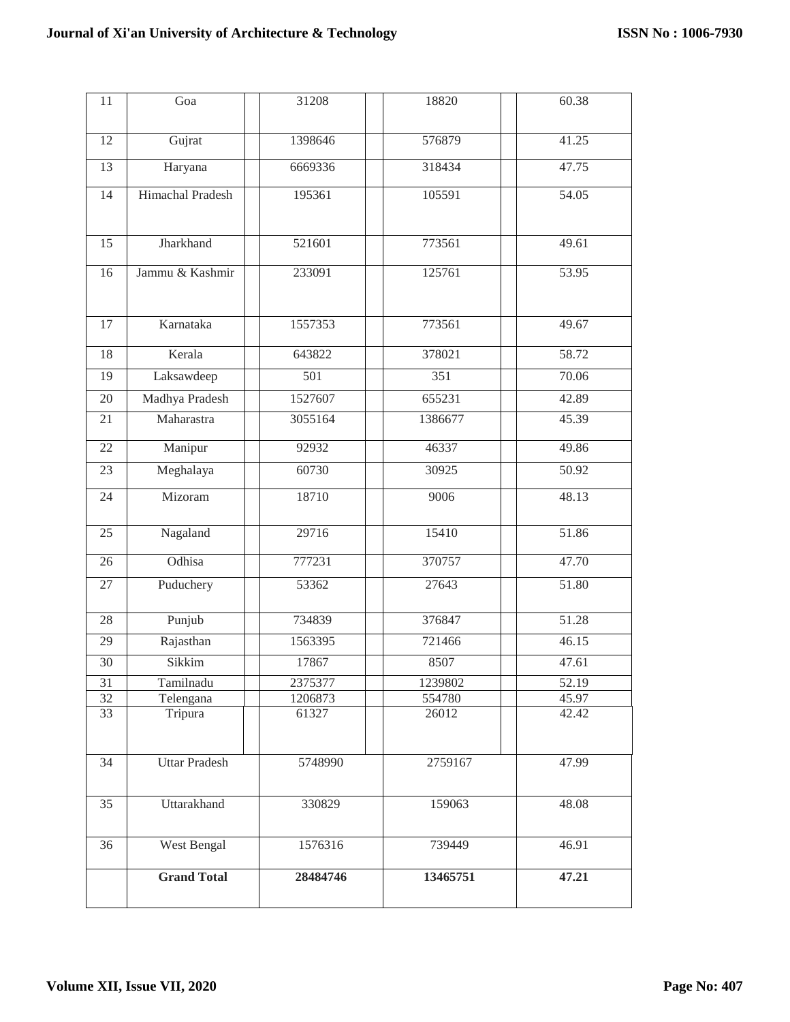| 11              | Goa                  | 31208            | 18820            | 60.38 |
|-----------------|----------------------|------------------|------------------|-------|
| 12              | Gujrat               | 1398646          | 576879           | 41.25 |
| 13              | Haryana              | 6669336          | 318434           | 47.75 |
| 14              | Himachal Pradesh     | 195361           | 105591           | 54.05 |
| 15              | Jharkhand            | 521601           | 773561           | 49.61 |
| 16              | Jammu & Kashmir      | 233091           | 125761           | 53.95 |
| 17              | Karnataka            | 1557353          | 773561           | 49.67 |
| 18              | Kerala               | 643822           | 378021           | 58.72 |
| 19              | Laksawdeep           | $\overline{501}$ | $\overline{351}$ | 70.06 |
| 20              | Madhya Pradesh       | 1527607          | 655231           | 42.89 |
| 21              | Maharastra           | 3055164          | 1386677          | 45.39 |
| 22              | Manipur              | 92932            | 46337            | 49.86 |
| $\overline{23}$ | Meghalaya            | 60730            | 30925            | 50.92 |
| 24              | Mizoram              | 18710            | 9006             | 48.13 |
| 25              | Nagaland             | 29716            | 15410            | 51.86 |
| 26              | Odhisa               | 777231           | 370757           | 47.70 |
| 27              | Puduchery            | 53362            | 27643            | 51.80 |
| 28              | Punjub               | 734839           | 376847           | 51.28 |
| 29              | Rajasthan            | 1563395          | 721466           | 46.15 |
| 30              | Sikkim               | 17867            | 8507             | 47.61 |
| 31              | Tamilnadu            | 2375377          | 1239802          | 52.19 |
| 32              | Telengana            | 1206873          | 554780           | 45.97 |
| 33              | Tripura              | 61327            | 26012            | 42.42 |
| 34              | <b>Uttar Pradesh</b> | 5748990          | 2759167          | 47.99 |
| 35              | Uttarakhand          | 330829           | 159063           | 48.08 |
| 36              | West Bengal          | 1576316          | 739449           | 46.91 |
|                 | <b>Grand Total</b>   | 28484746         | 13465751         | 47.21 |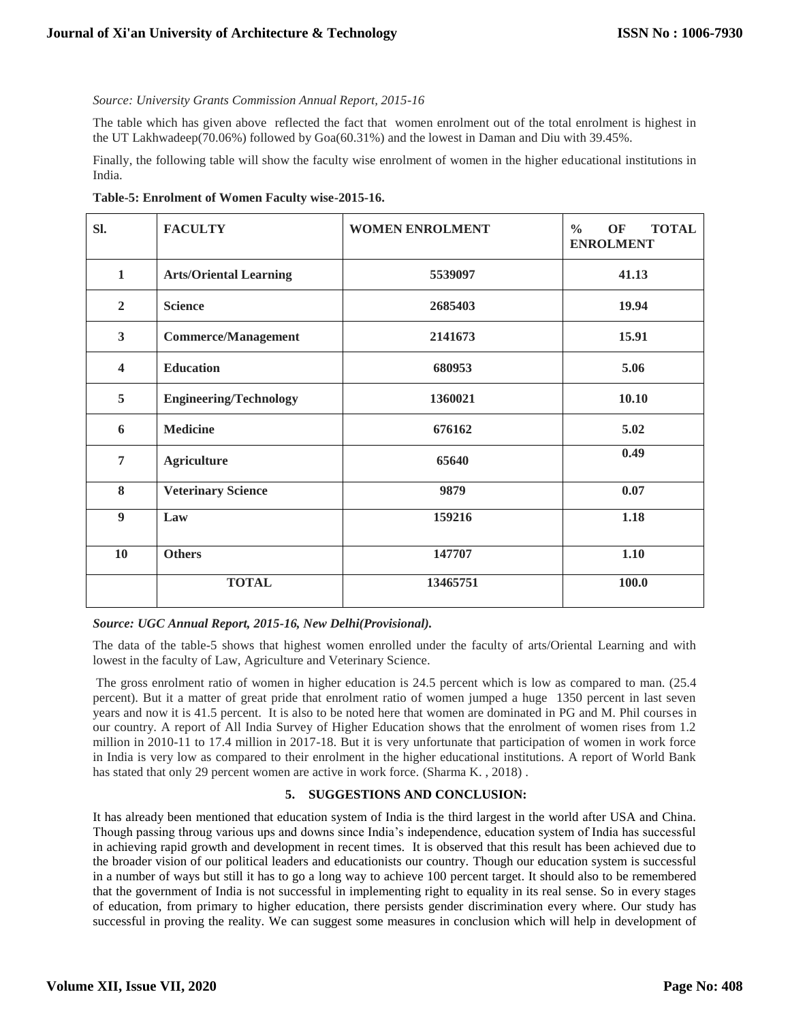#### *Source: University Grants Commission Annual Report, 2015-16*

The table which has given above reflected the fact that women enrolment out of the total enrolment is highest in the UT Lakhwadeep(70.06%) followed by Goa(60.31%) and the lowest in Daman and Diu with 39.45%.

Finally, the following table will show the faculty wise enrolment of women in the higher educational institutions in India.

**Table-5: Enrolment of Women Faculty wise-2015-16.**

| SI.                     | <b>FACULTY</b>                | <b>WOMEN ENROLMENT</b> | <b>TOTAL</b><br>$\frac{0}{0}$<br>OF<br><b>ENROLMENT</b> |
|-------------------------|-------------------------------|------------------------|---------------------------------------------------------|
| $\mathbf{1}$            | <b>Arts/Oriental Learning</b> | 5539097                | 41.13                                                   |
| $\overline{2}$          | <b>Science</b>                | 2685403                | 19.94                                                   |
| $\mathbf{3}$            | <b>Commerce/Management</b>    | 2141673                | 15.91                                                   |
| $\overline{\mathbf{4}}$ | <b>Education</b>              | 680953                 | 5.06                                                    |
| 5                       | <b>Engineering/Technology</b> | 1360021                | 10.10                                                   |
| 6                       | <b>Medicine</b>               | 676162                 | 5.02                                                    |
| 7                       | <b>Agriculture</b>            | 65640                  | 0.49                                                    |
| 8                       | <b>Veterinary Science</b>     | 9879                   | 0.07                                                    |
| $\boldsymbol{9}$        | Law                           | 159216                 | 1.18                                                    |
| 10                      | <b>Others</b>                 | 147707                 | 1.10                                                    |
|                         | <b>TOTAL</b>                  | 13465751               | 100.0                                                   |

#### *Source: UGC Annual Report, 2015-16, New Delhi(Provisional).*

The data of the table-5 shows that highest women enrolled under the faculty of arts/Oriental Learning and with lowest in the faculty of Law, Agriculture and Veterinary Science.

The gross enrolment ratio of women in higher education is 24.5 percent which is low as compared to man. (25.4 percent). But it a matter of great pride that enrolment ratio of women jumped a huge 1350 percent in last seven years and now it is 41.5 percent. It is also to be noted here that women are dominated in PG and M. Phil courses in our country. A report of All India Survey of Higher Education shows that the enrolment of women rises from 1.2 million in 2010-11 to 17.4 million in 2017-18. But it is very unfortunate that participation of women in work force in India is very low as compared to their enrolment in the higher educational institutions. A report of World Bank has stated that only 29 percent women are active in work force. (Sharma K. , 2018) .

#### **5. SUGGESTIONS AND CONCLUSION:**

It has already been mentioned that education system of India is the third largest in the world after USA and China. Though passing throug various ups and downs since India's independence, education system of India has successful in achieving rapid growth and development in recent times. It is observed that this result has been achieved due to the broader vision of our political leaders and educationists our country. Though our education system is successful in a number of ways but still it has to go a long way to achieve 100 percent target. It should also to be remembered that the government of India is not successful in implementing right to equality in its real sense. So in every stages of education, from primary to higher education, there persists gender discrimination every where. Our study has successful in proving the reality. We can suggest some measures in conclusion which will help in development of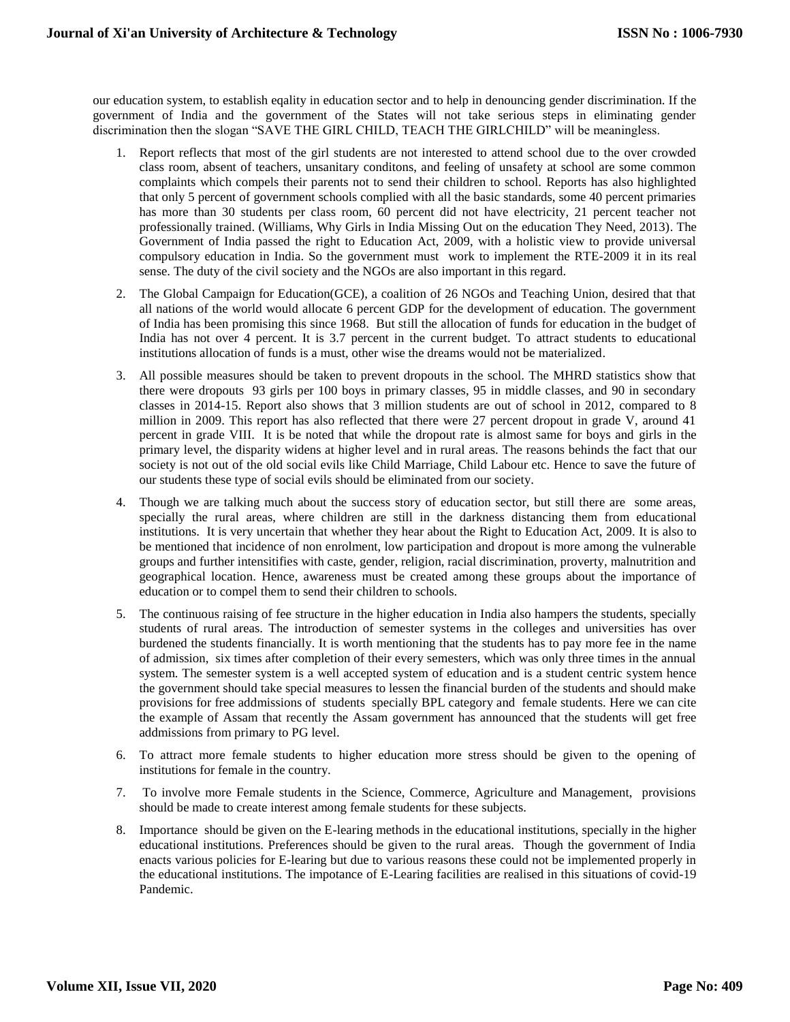our education system, to establish eqality in education sector and to help in denouncing gender discrimination. If the government of India and the government of the States will not take serious steps in eliminating gender discrimination then the slogan "SAVE THE GIRL CHILD, TEACH THE GIRLCHILD" will be meaningless.

- 1. Report reflects that most of the girl students are not interested to attend school due to the over crowded class room, absent of teachers, unsanitary conditons, and feeling of unsafety at school are some common complaints which compels their parents not to send their children to school. Reports has also highlighted that only 5 percent of government schools complied with all the basic standards, some 40 percent primaries has more than 30 students per class room, 60 percent did not have electricity, 21 percent teacher not professionally trained. (Williams, Why Girls in India Missing Out on the education They Need, 2013). The Government of India passed the right to Education Act, 2009, with a holistic view to provide universal compulsory education in India. So the government must work to implement the RTE-2009 it in its real sense. The duty of the civil society and the NGOs are also important in this regard.
- 2. The Global Campaign for Education(GCE), a coalition of 26 NGOs and Teaching Union, desired that that all nations of the world would allocate 6 percent GDP for the development of education. The government of India has been promising this since 1968. But still the allocation of funds for education in the budget of India has not over 4 percent. It is 3.7 percent in the current budget. To attract students to educational institutions allocation of funds is a must, other wise the dreams would not be materialized.
- 3. All possible measures should be taken to prevent dropouts in the school. The MHRD statistics show that there were dropouts 93 girls per 100 boys in primary classes, 95 in middle classes, and 90 in secondary classes in 2014-15. Report also shows that 3 million students are out of school in 2012, compared to 8 million in 2009. This report has also reflected that there were 27 percent dropout in grade V, around 41 percent in grade VIII. It is be noted that while the dropout rate is almost same for boys and girls in the primary level, the disparity widens at higher level and in rural areas. The reasons behinds the fact that our society is not out of the old social evils like Child Marriage, Child Labour etc. Hence to save the future of our students these type of social evils should be eliminated from our society.
- 4. Though we are talking much about the success story of education sector, but still there are some areas, specially the rural areas, where children are still in the darkness distancing them from educational institutions. It is very uncertain that whether they hear about the Right to Education Act, 2009. It is also to be mentioned that incidence of non enrolment, low participation and dropout is more among the vulnerable groups and further intensitifies with caste, gender, religion, racial discrimination, proverty, malnutrition and geographical location. Hence, awareness must be created among these groups about the importance of education or to compel them to send their children to schools.
- 5. The continuous raising of fee structure in the higher education in India also hampers the students, specially students of rural areas. The introduction of semester systems in the colleges and universities has over burdened the students financially. It is worth mentioning that the students has to pay more fee in the name of admission, six times after completion of their every semesters, which was only three times in the annual system. The semester system is a well accepted system of education and is a student centric system hence the government should take special measures to lessen the financial burden of the students and should make provisions for free addmissions of students specially BPL category and female students. Here we can cite the example of Assam that recently the Assam government has announced that the students will get free addmissions from primary to PG level.
- 6. To attract more female students to higher education more stress should be given to the opening of institutions for female in the country.
- 7. To involve more Female students in the Science, Commerce, Agriculture and Management, provisions should be made to create interest among female students for these subjects.
- 8. Importance should be given on the E-learing methods in the educational institutions, specially in the higher educational institutions. Preferences should be given to the rural areas. Though the government of India enacts various policies for E-learing but due to various reasons these could not be implemented properly in the educational institutions. The impotance of E-Learing facilities are realised in this situations of covid-19 Pandemic.